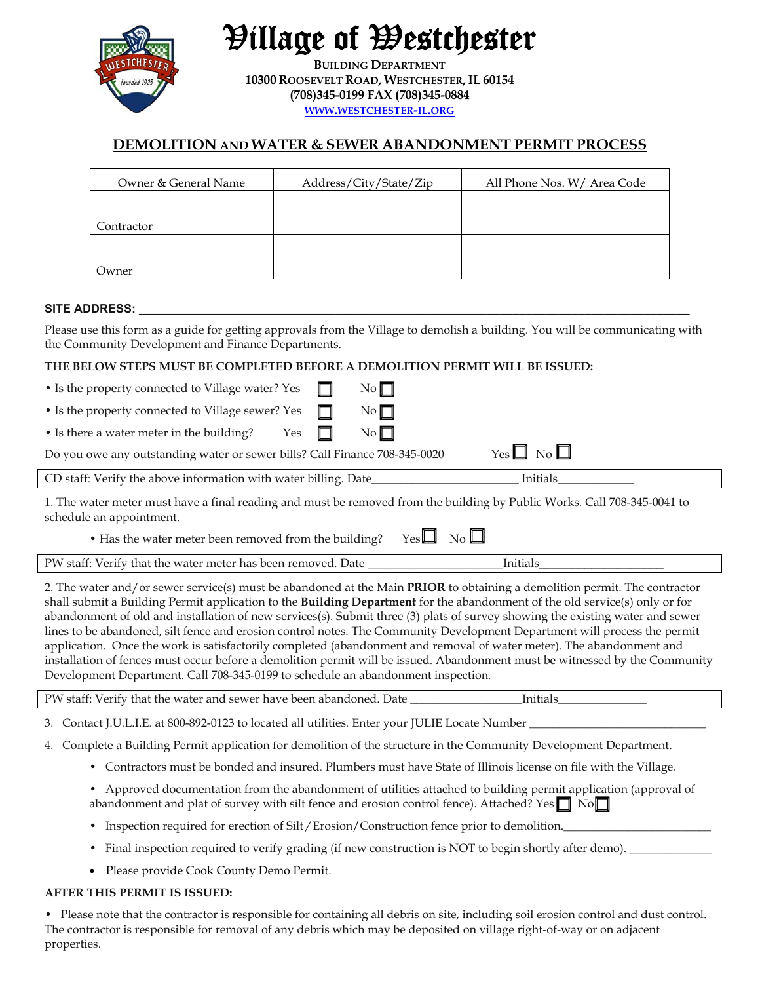

Village of Westchester

**BUILDING DEPARTMENT 10300 ROOSEVELT ROAD, WESTCHESTER, IL 60154 (708)345-0199 FAX (708)345-0884 WWW.WESTCHESTER-IL.ORG**

# **DEMOLITION AND WATER & SEWER ABANDONMENT PERMIT PROCESS**

| Owner & General Name | Address/City/State/Zip | All Phone Nos. W/ Area Code |
|----------------------|------------------------|-----------------------------|
|                      |                        |                             |
| Contractor           |                        |                             |
|                      |                        |                             |
| Owner                |                        |                             |

#### SITE ADDRESS:

Please use this form as a guide for getting approvals from the Village to demolish a building. You will be communicating with the Community Development and Finance Departments.

#### **THE BELOW STEPS MUST BE COMPLETED BEFORE A DEMOLITION PERMIT WILL BE ISSUED:**

| • Is the property connected to Village water? Yes                                                                              | $\mathbb{L}$ | $\mathbb{N}^{\circ}$ |                    |  |  |
|--------------------------------------------------------------------------------------------------------------------------------|--------------|----------------------|--------------------|--|--|
| • Is the property connected to Village sewer? Yes                                                                              | $\Box$       | $\mathbb{N}^{\circ}$ |                    |  |  |
| • Is there a water meter in the building? Yes $\Box$                                                                           |              | $\mathbb{N}^{\circ}$ |                    |  |  |
| Do you owe any outstanding water or sewer bills? Call Finance 708-345-0020                                                     |              |                      | $Yes \Box No \Box$ |  |  |
| CD staff: Verify the above information with water billing. Date_                                                               |              |                      | Initials           |  |  |
| 1. The wester meter must began a finel used in a search to unperced from the building by Dublic Works, Cell 700, 245, 0041, to |              |                      |                    |  |  |

1. The water meter must have a final reading and must be removed from the building by Public Works. Call 708-345-0041 to schedule an appointment.

• Has the water meter been removed from the building? Yes  $\Box$  No  $\Box$ 

PW staff: Verify that the water meter has been removed. Date **Let up to a limitials** 

2. The water and/or sewer service(s) must be abandoned at the Main **PRIOR** to obtaining a demolition permit. The contractor shall submit a Building Permit application to the **Building Department** for the abandonment of the old service(s) only or for abandonment of old and installation of new services(s). Submit three (3) plats of survey showing the existing water and sewer lines to be abandoned, silt fence and erosion control notes. The Community Development Department will process the permit application. Once the work is satisfactorily completed (abandonment and removal of water meter). The abandonment and installation of fences must occur before a demolition permit will be issued. Abandonment must be witnessed by the Community Development Department. Call 708-345-0199 to schedule an abandonment inspection.

PW staff: Verify that the water and sewer have been abandoned. Date \_\_\_\_\_\_\_\_\_\_\_\_\_\_\_\_\_\_\_Initials\_\_\_\_\_\_\_\_\_\_\_\_\_\_\_

- 3. Contact J.U.L.I.E. at 800-892-0123 to located all utilities. Enter your JULIE Locate Number
- 4. Complete a Building Permit application for demolition of the structure in the Community Development Department.
	- Contractors must be bonded and insured. Plumbers must have State of Illinois license on file with the Village.
	- Approved documentation from the abandonment of utilities attached to building permit application (approval of abandonment and plat of survey with silt fence and erosion control fence). Attached? Yes  $\Box \text{No} \Box$
	- Inspection required for erection of Silt / Erosion/Construction fence prior to demolition.
	- Final inspection required to verify grading (if new construction is NOT to begin shortly after demo).
	- Please provide Cook County Demo Permit.

#### **AFTER THIS PERMIT IS ISSUED:**

• Please note that the contractor is responsible for containing all debris on site, including soil erosion control and dust control. The contractor is responsible for removal of any debris which may be deposited on village right-of-way or on adjacent properties.